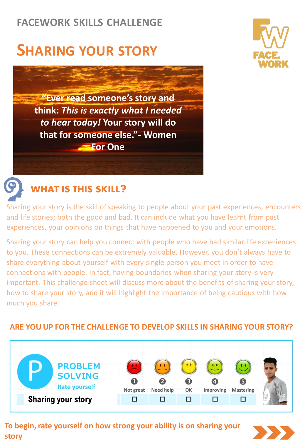### **FACEWORK SKILLS CHALLENGE**

# **SHARING YOUR STORY**





Sharing your story is the skill of speaking to people about your past experiences, encounters and life stories; both the good and bad. It can include what you have learnt from past experiences, your opinions on things that have happened to you and your emotions.

Sharing your story can help you connect with people who have had similar life experiences to you. These connections can be extremely valuable. However, you don't always have to share everything about yourself with every single person you meet in order to have connections with people. In fact, having boundaries when sharing your story is very important. This challenge sheet will discuss more about the benefits of sharing your story, how to share your story, and it will highlight the importance of being cautious with how much you share.

#### **PROBLEM SOLVING** 3  $\boldsymbol{A}$ **Rate yourself** Not great Need help OK **Improving Mastering Sharing your story** □ □  $\Box$ □ □

#### **ARE YOU UP FOR THE CHALLENGE TO DEVELOP SKILLS IN SHARING YOUR STORY?**

**To begin, rate yourself on how strong your ability is on sharing your story**



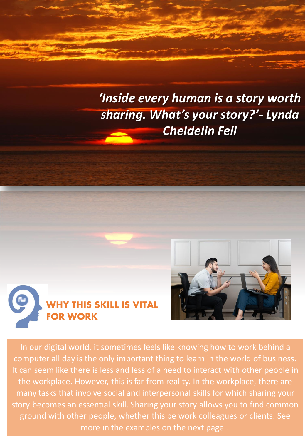## *'Inside every human is a story worth sharing. What's your story?'- Lynda Cheldelin Fell*





In our digital world, it sometimes feels like knowing how to work behind a computer all day is the only important thing to learn in the world of business. It can seem like there is less and less of a need to interact with other people in the workplace. However, this is far from reality. In the workplace, there are many tasks that involve social and interpersonal skills for which sharing your story becomes an essential skill. Sharing your story allows you to find common ground with other people, whether this be work colleagues or clients. See more in the examples on the next page…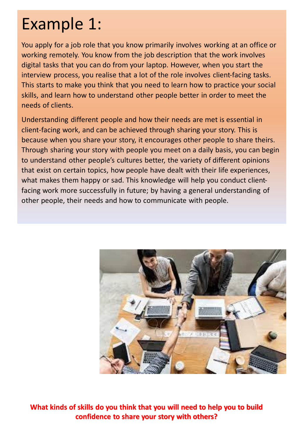# Example 1:

You apply for a job role that you know primarily involves working at an office or working remotely. You know from the job description that the work involves digital tasks that you can do from your laptop. However, when you start the interview process, you realise that a lot of the role involves client-facing tasks. This starts to make you think that you need to learn how to practice your social skills, and learn how to understand other people better in order to meet the needs of clients.

Understanding different people and how their needs are met is essential in client-facing work, and can be achieved through sharing your story. This is because when you share your story, it encourages other people to share theirs. Through sharing your story with people you meet on a daily basis, you can begin to understand other people's cultures better, the variety of different opinions that exist on certain topics, how people have dealt with their life experiences, what makes them happy or sad. This knowledge will help you conduct clientfacing work more successfully in future; by having a general understanding of other people, their needs and how to communicate with people.



**What kinds of skills do you think that you will need to help you to build confidence to share your story with others?**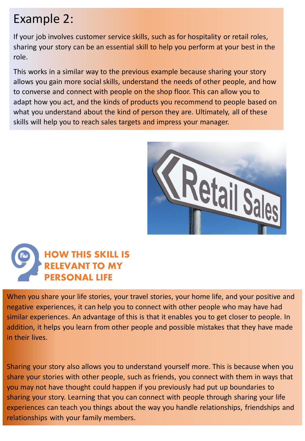### Example 2:

If your job involves customer service skills, such as for hospitality or retail roles, sharing your story can be an essential skill to help you perform at your best in the role.

This works in a similar way to the previous example because sharing your story allows you gain more social skills, understand the needs of other people, and how to converse and connect with people on the shop floor. This can allow you to adapt how you act, and the kinds of products you recommend to people based on what you understand about the kind of person they are. Ultimately, all of these skills will help you to reach sales targets and impress your manager.





When you share your life stories, your travel stories, your home life, and your positive and negative experiences, it can help you to connect with other people who may have had similar experiences. An advantage of this is that it enables you to get closer to people. In addition, it helps you learn from other people and possible mistakes that they have made in their lives.

Sharing your story also allows you to understand yourself more. This is because when you share your stories with other people, such as friends, you connect with them in ways that you may not have thought could happen if you previously had put up boundaries to sharing your story. Learning that you can connect with people through sharing your life experiences can teach you things about the way you handle relationships, friendships and relationships with your family members.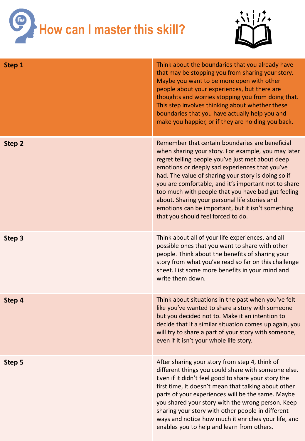



| Step 1 | Think about the boundaries that you already have<br>that may be stopping you from sharing your story.<br>Maybe you want to be more open with other<br>people about your experiences, but there are<br>thoughts and worries stopping you from doing that.<br>This step involves thinking about whether these<br>boundaries that you have actually help you and<br>make you happier, or if they are holding you back.                                                                                                           |
|--------|-------------------------------------------------------------------------------------------------------------------------------------------------------------------------------------------------------------------------------------------------------------------------------------------------------------------------------------------------------------------------------------------------------------------------------------------------------------------------------------------------------------------------------|
| Step 2 | Remember that certain boundaries are beneficial<br>when sharing your story. For example, you may later<br>regret telling people you've just met about deep<br>emotions or deeply sad experiences that you've<br>had. The value of sharing your story is doing so if<br>you are comfortable, and it's important not to share<br>too much with people that you have bad gut feeling<br>about. Sharing your personal life stories and<br>emotions can be important, but it isn't something<br>that you should feel forced to do. |
| Step 3 | Think about all of your life experiences, and all<br>possible ones that you want to share with other<br>people. Think about the benefits of sharing your<br>story from what you've read so far on this challenge<br>sheet. List some more benefits in your mind and<br>write them down.                                                                                                                                                                                                                                       |
| Step 4 | Think about situations in the past when you've felt<br>like you've wanted to share a story with someone<br>but you decided not to. Make it an intention to<br>decide that if a similar situation comes up again, you<br>will try to share a part of your story with someone,<br>even if it isn't your whole life story.                                                                                                                                                                                                       |
| Step 5 | After sharing your story from step 4, think of<br>different things you could share with someone else.<br>Even if it didn't feel good to share your story the<br>first time, it doesn't mean that talking about other<br>parts of your experiences will be the same. Maybe<br>you shared your story with the wrong person. Keep<br>sharing your story with other people in different<br>ways and notice how much it enriches your life, and<br>enables you to help and learn from others.                                      |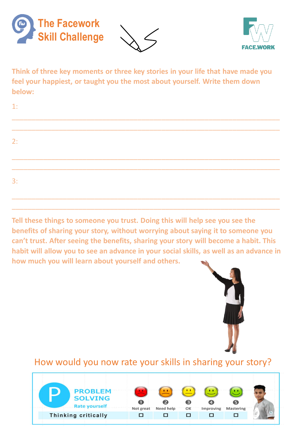





**Think of three key moments or three key stories in your life that have made you feel your happiest, or taught you the most about yourself. Write them down below:**

| 1: |  |  |  |  |
|----|--|--|--|--|
|    |  |  |  |  |
| 2: |  |  |  |  |
|    |  |  |  |  |
|    |  |  |  |  |
| 3: |  |  |  |  |
|    |  |  |  |  |

**Tell these things to someone you trust. Doing this will help see you see the benefits of sharing your story, without worrying about saying it to someone you can't trust. After seeing the benefits, sharing your story will become a habit. This habit will allow you to see an advance in your social skills, as well as an advance in how much you will learn about yourself and others.** 

\_\_\_\_\_\_\_\_\_\_\_\_\_\_\_\_\_\_\_\_\_\_\_\_\_\_\_\_\_\_\_\_\_\_\_\_\_\_\_\_\_\_\_\_\_\_\_\_\_\_\_\_\_\_\_\_\_\_\_\_\_\_\_\_\_\_\_\_



#### How would you now rate your skills in sharing your story?